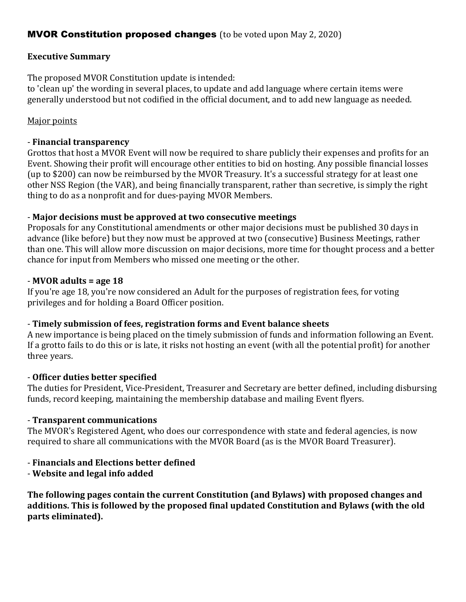# **MVOR Constitution proposed changes** (to be voted upon May 2, 2020)

## **Executive Summary**

The proposed MVOR Constitution update is intended:

to 'clean up' the wording in several places, to update and add language where certain items were generally understood but not codified in the official document, and to add new language as needed.

## Major points

## - **Financial transparency**

Grottos that host a MVOR Event will now be required to share publicly their expenses and profits for an Event. Showing their profit will encourage other entities to bid on hosting. Any possible financial losses (up to \$200) can now be reimbursed by the MVOR Treasury. It's a successful strategy for at least one other NSS Region (the VAR), and being financially transparent, rather than secretive, is simply the right thing to do as a nonprofit and for dues-paying MVOR Members.

# - **Major decisions must be approved at two consecutive meetings**

Proposals for any Constitutional amendments or other major decisions must be published 30 days in advance (like before) but they now must be approved at two (consecutive) Business Meetings, rather than one. This will allow more discussion on major decisions, more time for thought process and a better chance for input from Members who missed one meeting or the other.

### - **MVOR adults = age 18**

If you're age 18, you're now considered an Adult for the purposes of registration fees, for voting privileges and for holding a Board Officer position.

#### - **Timely submission of fees, registration forms and Event balance sheets**

A new importance is being placed on the timely submission of funds and information following an Event. If a grotto fails to do this or is late, it risks not hosting an event (with all the potential profit) for another three years.

#### - **Officer duties better specified**

The duties for President, Vice-President, Treasurer and Secretary are better defined, including disbursing funds, record keeping, maintaining the membership database and mailing Event flyers.

#### - **Transparent communications**

The MVOR's Registered Agent, who does our correspondence with state and federal agencies, is now required to share all communications with the MVOR Board (as is the MVOR Board Treasurer).

# - **Financials and Elections better defined**

- **Website and legal info added** 

**The following pages contain the current Constitution (and Bylaws) with proposed changes and additions. This is followed by the proposed final updated Constitution and Bylaws (with the old parts eliminated).**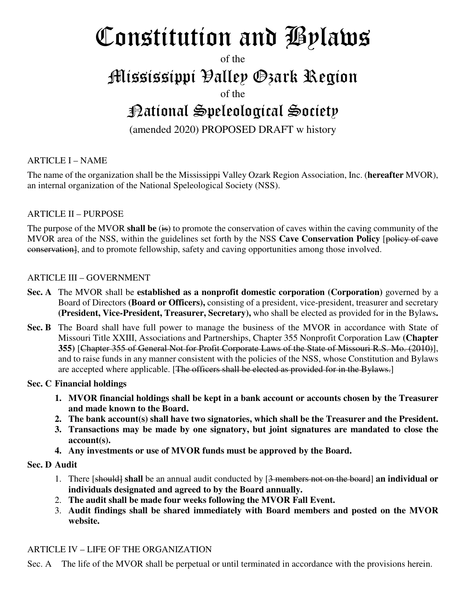# Constitution and Bylaws

of the

# Mississippi Valley Ozark Region

of the

# National Speleological Society

(amended 2020) PROPOSED DRAFT w history

# ARTICLE I – NAME

The name of the organization shall be the Mississippi Valley Ozark Region Association, Inc. (**hereafter** MVOR), an internal organization of the National Speleological Society (NSS).

# ARTICLE II – PURPOSE

The purpose of the MVOR **shall be** (is) to promote the conservation of caves within the caving community of the MVOR area of the NSS, within the guidelines set forth by the NSS Cave Conservation Policy [policy of cave conservation], and to promote fellowship, safety and caving opportunities among those involved.

# ARTICLE III – GOVERNMENT

- **Sec. A** The MVOR shall be **established as a nonprofit domestic corporation (Corporation)** governed by a Board of Directors **(Board or Officers),** consisting of a president, vice-president, treasurer and secretary **(President, Vice-President, Treasurer, Secretary),** who shall be elected as provided for in the Bylaws**.**
- **Sec. B** The Board shall have full power to manage the business of the MVOR in accordance with State of Missouri Title XXIII, Associations and Partnerships, Chapter 355 Nonprofit Corporation Law **(Chapter 355)** [Chapter 355 of General Not for Profit Corporate Laws of the State of Missouri R.S. Mo. (2010)], and to raise funds in any manner consistent with the policies of the NSS, whose Constitution and Bylaws are accepted where applicable. [The officers shall be elected as provided for in the Bylaws.]

# **Sec. C Financial holdings**

- **1. MVOR financial holdings shall be kept in a bank account or accounts chosen by the Treasurer and made known to the Board.**
- **2. The bank account(s) shall have two signatories, which shall be the Treasurer and the President.**
- **3. Transactions may be made by one signatory, but joint signatures are mandated to close the account(s).**
- **4. Any investments or use of MVOR funds must be approved by the Board.**

#### **Sec. D Audit**

- 1. There [should] **shall** be an annual audit conducted by [3 members not on the board] **an individual or individuals designated and agreed to by the Board annually.**
- 2. **The audit shall be made four weeks following the MVOR Fall Event.**
- 3. **Audit findings shall be shared immediately with Board members and posted on the MVOR website.**

# ARTICLE IV – LIFE OF THE ORGANIZATION

Sec. A The life of the MVOR shall be perpetual or until terminated in accordance with the provisions herein.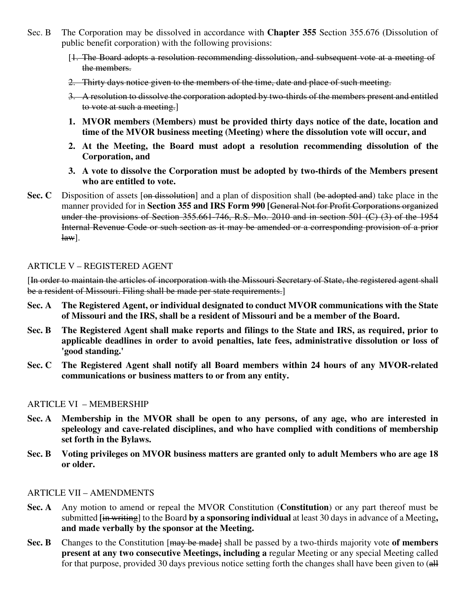- Sec. B The Corporation may be dissolved in accordance with **Chapter 355** Section 355.676 (Dissolution of public benefit corporation) with the following provisions:
	- [1. The Board adopts a resolution recommending dissolution, and subsequent vote at a meeting of the members.
	- 2. Thirty days notice given to the members of the time, date and place of such meeting.
	- 3. A resolution to dissolve the corporation adopted by two-thirds of the members present and entitled to vote at such a meeting.]
	- **1. MVOR members (Members) must be provided thirty days notice of the date, location and time of the MVOR business meeting (Meeting) where the dissolution vote will occur, and**
	- **2. At the Meeting, the Board must adopt a resolution recommending dissolution of the Corporation, and**
	- **3. A vote to dissolve the Corporation must be adopted by two-thirds of the Members present who are entitled to vote.**
- **Sec. C** Disposition of assets [on dissolution] and a plan of disposition shall (be adopted and) take place in the manner provided for in **Section 355 and IRS Form 990 [**General Not for Profit Corporations organized under the provisions of Section 355.661-746, R.S. Mo. 2010 and in section 501 (C) (3) of the 1954 Internal Revenue Code or such section as it may be amended or a corresponding provision of a prior  $\text{law}$ ].

#### ARTICLE V – REGISTERED AGENT

[In order to maintain the articles of incorporation with the Missouri Secretary of State, the registered agent shall be a resident of Missouri. Filing shall be made per state requirements.]

- **Sec. A The Registered Agent, or individual designated to conduct MVOR communications with the State of Missouri and the IRS, shall be a resident of Missouri and be a member of the Board.**
- **Sec. B The Registered Agent shall make reports and filings to the State and IRS, as required, prior to applicable deadlines in order to avoid penalties, late fees, administrative dissolution or loss of 'good standing.'**
- **Sec. C The Registered Agent shall notify all Board members within 24 hours of any MVOR-related communications or business matters to or from any entity.**

#### ARTICLE VI – MEMBERSHIP

- **Sec. A Membership in the MVOR shall be open to any persons, of any age, who are interested in speleology and cave-related disciplines, and who have complied with conditions of membership set forth in the Bylaws.**
- **Sec. B Voting privileges on MVOR business matters are granted only to adult Members who are age 18 or older.**

#### ARTICLE VII – AMENDMENTS

- **Sec. A** Any motion to amend or repeal the MVOR Constitution (**Constitution**) or any part thereof must be submitted **[**in writing] to the Board **by a sponsoring individual** at least 30 days in advance of a Meeting**, and made verbally by the sponsor at the Meeting.**
- **Sec. B** Changes to the Constitution [may be made] shall be passed by a two-thirds majority vote of members **present at any two consecutive Meetings, including a** regular Meeting or any special Meeting called for that purpose, provided 30 days previous notice setting forth the changes shall have been given to (all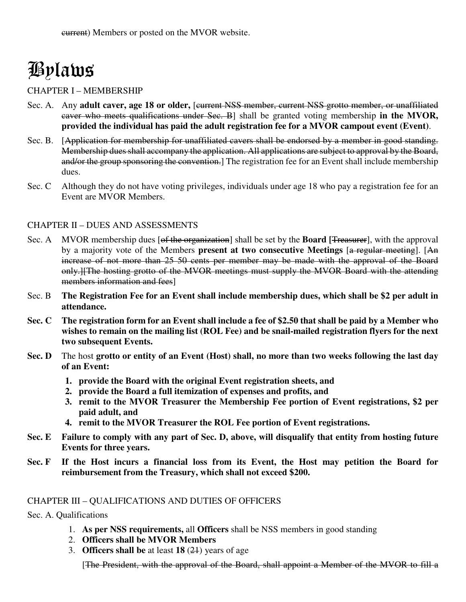# Bylaws

#### CHAPTER I – MEMBERSHIP

- Sec. A. Any **adult caver, age 18 or older,** [current NSS member, current NSS grotto member, or unaffiliated caver who meets qualifications under Sec. B] shall be granted voting membership **in the MVOR, provided the individual has paid the adult registration fee for a MVOR campout event (Event)**.
- Sec. B. [Application for membership for unaffiliated cavers shall be endorsed by a member in good standing. Membership dues shall accompany the application. All applications are subject to approval by the Board, and/or the group sponsoring the convention. The registration fee for an Event shall include membership dues.
- Sec. C Although they do not have voting privileges, individuals under age 18 who pay a registration fee for an Event are MVOR Members.

#### CHAPTER II – DUES AND ASSESSMENTS

- Sec. A MVOR membership dues [of the organization] shall be set by the **Board [**Treasurer], with the approval by a majority vote of the Members **present at two consecutive Meetings** [a regular meeting]. [An increase of not more than 25 50 cents per member may be made with the approval of the Board only.][The hosting grotto of the MVOR meetings must supply the MVOR Board with the attending members information and fees]
- Sec. B **The Registration Fee for an Event shall include membership dues, which shall be \$2 per adult in attendance.**
- **Sec. C The registration form for an Event shall include a fee of \$2.50 that shall be paid by a Member who wishes to remain on the mailing list (ROL Fee) and be snail-mailed registration flyers for the next two subsequent Events.**
- **Sec. D** The host **grotto or entity of an Event (Host) shall, no more than two weeks following the last day of an Event:** 
	- **1. provide the Board with the original Event registration sheets, and**
	- **2. provide the Board a full itemization of expenses and profits, and**
	- **3. remit to the MVOR Treasurer the Membership Fee portion of Event registrations, \$2 per paid adult, and**
	- **4. remit to the MVOR Treasurer the ROL Fee portion of Event registrations.**
- **Sec. E Failure to comply with any part of Sec. D, above, will disqualify that entity from hosting future Events for three years.**
- **Sec. F If the Host incurs a financial loss from its Event, the Host may petition the Board for reimbursement from the Treasury, which shall not exceed \$200.**

#### CHAPTER III – QUALIFICATIONS AND DUTIES OF OFFICERS

- Sec. A. Qualifications
	- 1. **As per NSS requirements,** all **Officers** shall be NSS members in good standing
	- 2. **Officers shall be MVOR Members**
	- 3. **Officers shall be** at least **18** (21) years of age

[The President, with the approval of the Board, shall appoint a Member of the MVOR to fill a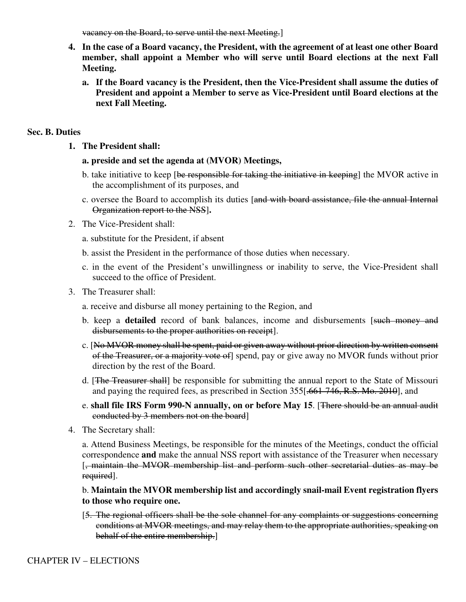vacancy on the Board, to serve until the next Meeting.]

- **4. In the case of a Board vacancy, the President, with the agreement of at least one other Board member, shall appoint a Member who will serve until Board elections at the next Fall Meeting.** 
	- **a. If the Board vacancy is the President, then the Vice-President shall assume the duties of President and appoint a Member to serve as Vice-President until Board elections at the next Fall Meeting.**

#### **Sec. B. Duties**

**1. The President shall:** 

#### **a. preside and set the agenda at (MVOR) Meetings,**

- b. take initiative to keep [be responsible for taking the initiative in keeping] the MVOR active in the accomplishment of its purposes, and
- c. oversee the Board to accomplish its duties [and with board assistance, file the annual Internal Organization report to the NSS]**.**
- 2. The Vice-President shall:
	- a. substitute for the President, if absent
	- b. assist the President in the performance of those duties when necessary.
	- c. in the event of the President's unwillingness or inability to serve, the Vice-President shall succeed to the office of President.
- 3. The Treasurer shall:
	- a. receive and disburse all money pertaining to the Region, and
	- b. keep a **detailed** record of bank balances, income and disbursements [such money and disbursements to the proper authorities on receipt].
	- c. [No MVOR money shall be spent, paid or given away without prior direction by written consent of the Treasurer, or a majority vote of] spend, pay or give away no MVOR funds without prior direction by the rest of the Board.
	- d. [The Treasurer shall] be responsible for submitting the annual report to the State of Missouri and paying the required fees, as prescribed in Section 355.<del>[661-746, R.S. Mo. 2010]</del>, and
	- e. **shall file IRS Form 990-N annually, on or before May 15**. [There should be an annual audit conducted by 3 members not on the board]
- 4. The Secretary shall:

a. Attend Business Meetings, be responsible for the minutes of the Meetings, conduct the official correspondence **and** make the annual NSS report with assistance of the Treasurer when necessary [, maintain the MVOR membership list and perform such other secretarial duties as may be required].

#### b. **Maintain the MVOR membership list and accordingly snail-mail Event registration flyers to those who require one.**

[5. The regional officers shall be the sole channel for any complaints or suggestions concerning conditions at MVOR meetings, and may relay them to the appropriate authorities, speaking on behalf of the entire membership.]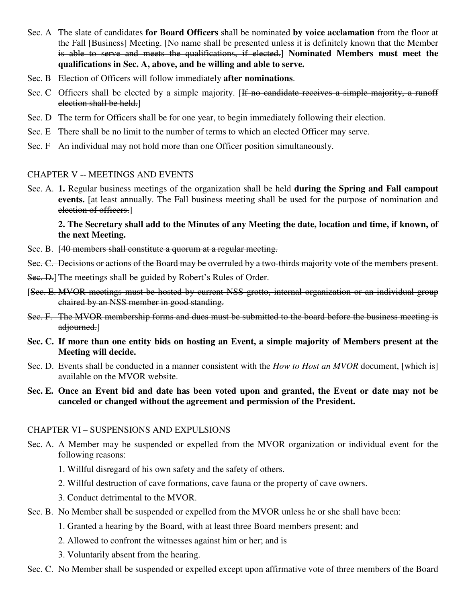- Sec. A The slate of candidates **for Board Officers** shall be nominated **by voice acclamation** from the floor at the Fall [Business] Meeting. [No name shall be presented unless it is definitely known that the Member is able to serve and meets the qualifications, if elected.] **Nominated Members must meet the qualifications in Sec. A, above, and be willing and able to serve.**
- Sec. B Election of Officers will follow immediately **after nominations**.
- Sec. C Officers shall be elected by a simple majority. [If no candidate receives a simple majority, a runoff election shall be held.]
- Sec. D The term for Officers shall be for one year, to begin immediately following their election.
- Sec. E There shall be no limit to the number of terms to which an elected Officer may serve.
- Sec. F An individual may not hold more than one Officer position simultaneously.

#### CHAPTER V -- MEETINGS AND EVENTS

Sec. A. **1.** Regular business meetings of the organization shall be held **during the Spring and Fall campout events.** [at least annually. The Fall business meeting shall be used for the purpose of nomination and election of officers.]

#### **2. The Secretary shall add to the Minutes of any Meeting the date, location and time, if known, of the next Meeting.**

- Sec. B. [40 members shall constitute a quorum at a regular meeting.
- Sec. C. Decisions or actions of the Board may be overruled by a two-thirds majority vote of the members present.
- Sec. D. The meetings shall be guided by Robert's Rules of Order.
- [Sec. E. MVOR meetings must be hosted by current NSS grotto, internal organization or an individual group chaired by an NSS member in good standing.
- Sec. F. The MVOR membership forms and dues must be submitted to the board before the business meeting is adjourned.]
- **Sec. C. If more than one entity bids on hosting an Event, a simple majority of Members present at the Meeting will decide.**
- Sec. D. Events shall be conducted in a manner consistent with the *How to Host an MVOR* document, [which is] available on the MVOR website.
- **Sec. E. Once an Event bid and date has been voted upon and granted, the Event or date may not be canceled or changed without the agreement and permission of the President.**

#### CHAPTER VI – SUSPENSIONS AND EXPULSIONS

- Sec. A. A Member may be suspended or expelled from the MVOR organization or individual event for the following reasons:
	- 1. Willful disregard of his own safety and the safety of others.
	- 2. Willful destruction of cave formations, cave fauna or the property of cave owners.
	- 3. Conduct detrimental to the MVOR.
- Sec. B. No Member shall be suspended or expelled from the MVOR unless he or she shall have been:
	- 1. Granted a hearing by the Board, with at least three Board members present; and
	- 2. Allowed to confront the witnesses against him or her; and is
	- 3. Voluntarily absent from the hearing.
- Sec. C. No Member shall be suspended or expelled except upon affirmative vote of three members of the Board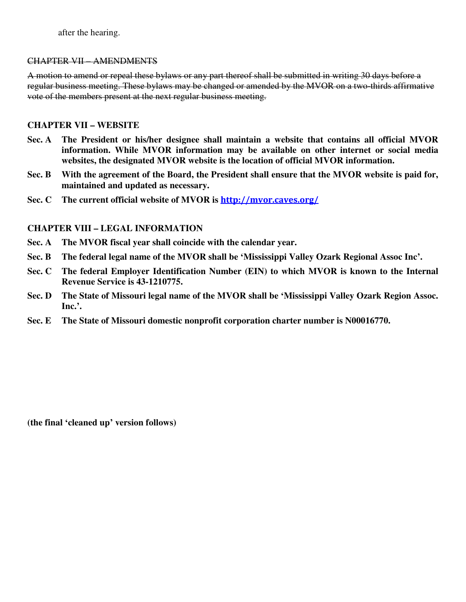after the hearing.

#### CHAPTER VII – AMENDMENTS

A motion to amend or repeal these bylaws or any part thereof shall be submitted in writing 30 days before a regular business meeting. These bylaws may be changed or amended by the MVOR on a two-thirds affirmative vote of the members present at the next regular business meeting.

#### **CHAPTER VII – WEBSITE**

- **Sec. A The President or his/her designee shall maintain a website that contains all official MVOR information. While MVOR information may be available on other internet or social media websites, the designated MVOR website is the location of official MVOR information.**
- **Sec. B With the agreement of the Board, the President shall ensure that the MVOR website is paid for, maintained and updated as necessary.**
- **Sec. C The current official website of MVOR is http://mvor.caves.org/**

#### **CHAPTER VIII – LEGAL INFORMATION**

- **Sec. A The MVOR fiscal year shall coincide with the calendar year.**
- **Sec. B The federal legal name of the MVOR shall be 'Mississippi Valley Ozark Regional Assoc Inc'.**
- **Sec. C The federal Employer Identification Number (EIN) to which MVOR is known to the Internal Revenue Service is 43-1210775.**
- **Sec. D The State of Missouri legal name of the MVOR shall be 'Mississippi Valley Ozark Region Assoc. Inc.'.**
- **Sec. E The State of Missouri domestic nonprofit corporation charter number is N00016770.**

**(the final 'cleaned up' version follows)**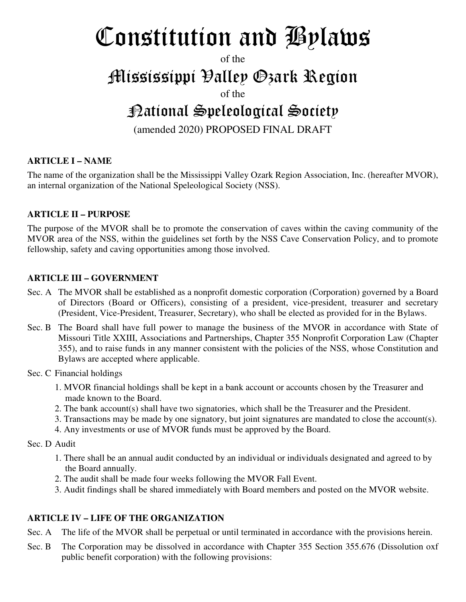# Constitution and Bylaws

of the

# Mississippi Valley Ozark Region

of the

# National Speleological Society

(amended 2020) PROPOSED FINAL DRAFT

# **ARTICLE I – NAME**

The name of the organization shall be the Mississippi Valley Ozark Region Association, Inc. (hereafter MVOR), an internal organization of the National Speleological Society (NSS).

# **ARTICLE II – PURPOSE**

The purpose of the MVOR shall be to promote the conservation of caves within the caving community of the MVOR area of the NSS, within the guidelines set forth by the NSS Cave Conservation Policy, and to promote fellowship, safety and caving opportunities among those involved.

# **ARTICLE III – GOVERNMENT**

- Sec. A The MVOR shall be established as a nonprofit domestic corporation (Corporation) governed by a Board of Directors (Board or Officers), consisting of a president, vice-president, treasurer and secretary (President, Vice-President, Treasurer, Secretary), who shall be elected as provided for in the Bylaws.
- Sec. B The Board shall have full power to manage the business of the MVOR in accordance with State of Missouri Title XXIII, Associations and Partnerships, Chapter 355 Nonprofit Corporation Law (Chapter 355), and to raise funds in any manner consistent with the policies of the NSS, whose Constitution and Bylaws are accepted where applicable.
- Sec. C Financial holdings
	- 1. MVOR financial holdings shall be kept in a bank account or accounts chosen by the Treasurer and made known to the Board.
	- 2. The bank account(s) shall have two signatories, which shall be the Treasurer and the President.
	- 3. Transactions may be made by one signatory, but joint signatures are mandated to close the account(s).
	- 4. Any investments or use of MVOR funds must be approved by the Board.

#### Sec. D Audit

- 1. There shall be an annual audit conducted by an individual or individuals designated and agreed to by the Board annually.
- 2. The audit shall be made four weeks following the MVOR Fall Event.
- 3. Audit findings shall be shared immediately with Board members and posted on the MVOR website.

# **ARTICLE IV – LIFE OF THE ORGANIZATION**

- Sec. A The life of the MVOR shall be perpetual or until terminated in accordance with the provisions herein.
- Sec. B The Corporation may be dissolved in accordance with Chapter 355 Section 355.676 (Dissolution oxf public benefit corporation) with the following provisions: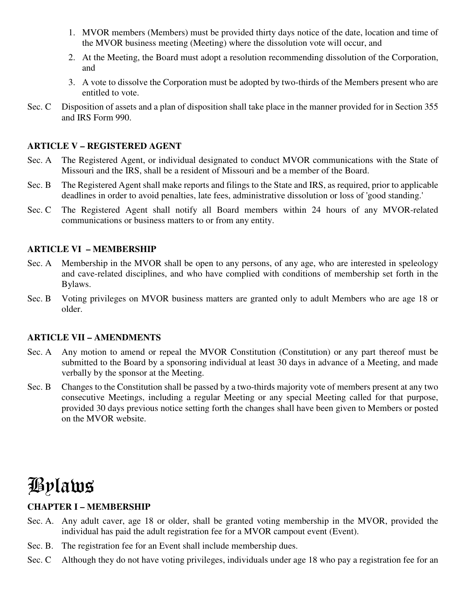- 1. MVOR members (Members) must be provided thirty days notice of the date, location and time of the MVOR business meeting (Meeting) where the dissolution vote will occur, and
- 2. At the Meeting, the Board must adopt a resolution recommending dissolution of the Corporation, and
- 3. A vote to dissolve the Corporation must be adopted by two-thirds of the Members present who are entitled to vote.
- Sec. C Disposition of assets and a plan of disposition shall take place in the manner provided for in Section 355 and IRS Form 990.

#### **ARTICLE V – REGISTERED AGENT**

- Sec. A The Registered Agent, or individual designated to conduct MVOR communications with the State of Missouri and the IRS, shall be a resident of Missouri and be a member of the Board.
- Sec. B The Registered Agent shall make reports and filings to the State and IRS, as required, prior to applicable deadlines in order to avoid penalties, late fees, administrative dissolution or loss of 'good standing.'
- Sec. C The Registered Agent shall notify all Board members within 24 hours of any MVOR-related communications or business matters to or from any entity.

#### **ARTICLE VI – MEMBERSHIP**

- Sec. A Membership in the MVOR shall be open to any persons, of any age, who are interested in speleology and cave-related disciplines, and who have complied with conditions of membership set forth in the Bylaws.
- Sec. B Voting privileges on MVOR business matters are granted only to adult Members who are age 18 or older.

#### **ARTICLE VII – AMENDMENTS**

- Sec. A Any motion to amend or repeal the MVOR Constitution (Constitution) or any part thereof must be submitted to the Board by a sponsoring individual at least 30 days in advance of a Meeting, and made verbally by the sponsor at the Meeting.
- Sec. B Changes to the Constitution shall be passed by a two-thirds majority vote of members present at any two consecutive Meetings, including a regular Meeting or any special Meeting called for that purpose, provided 30 days previous notice setting forth the changes shall have been given to Members or posted on the MVOR website.

# Bylaws

# **CHAPTER I – MEMBERSHIP**

- Sec. A. Any adult caver, age 18 or older, shall be granted voting membership in the MVOR, provided the individual has paid the adult registration fee for a MVOR campout event (Event).
- Sec. B. The registration fee for an Event shall include membership dues.
- Sec. C Although they do not have voting privileges, individuals under age 18 who pay a registration fee for an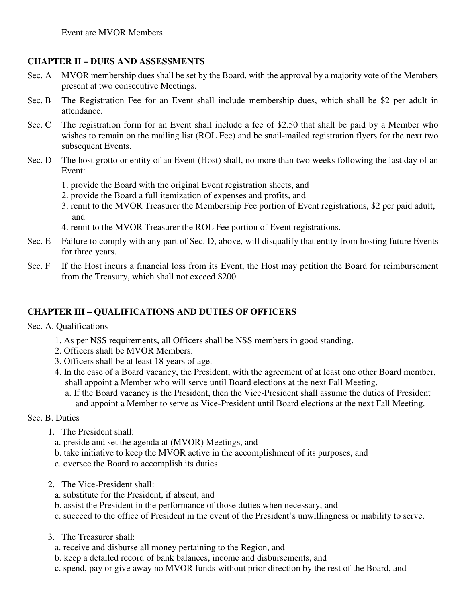# **CHAPTER II – DUES AND ASSESSMENTS**

- Sec. A MVOR membership dues shall be set by the Board, with the approval by a majority vote of the Members present at two consecutive Meetings.
- Sec. B The Registration Fee for an Event shall include membership dues, which shall be \$2 per adult in attendance.
- Sec. C The registration form for an Event shall include a fee of \$2.50 that shall be paid by a Member who wishes to remain on the mailing list (ROL Fee) and be snail-mailed registration flyers for the next two subsequent Events.
- Sec. D The host grotto or entity of an Event (Host) shall, no more than two weeks following the last day of an Event:
	- 1. provide the Board with the original Event registration sheets, and
	- 2. provide the Board a full itemization of expenses and profits, and
	- 3. remit to the MVOR Treasurer the Membership Fee portion of Event registrations, \$2 per paid adult, and
	- 4. remit to the MVOR Treasurer the ROL Fee portion of Event registrations.
- Sec. E Failure to comply with any part of Sec. D, above, will disqualify that entity from hosting future Events for three years.
- Sec. F If the Host incurs a financial loss from its Event, the Host may petition the Board for reimbursement from the Treasury, which shall not exceed \$200.

# **CHAPTER III – QUALIFICATIONS AND DUTIES OF OFFICERS**

Sec. A. Qualifications

- 1. As per NSS requirements, all Officers shall be NSS members in good standing.
- 2. Officers shall be MVOR Members.
- 3. Officers shall be at least 18 years of age.
- 4. In the case of a Board vacancy, the President, with the agreement of at least one other Board member, shall appoint a Member who will serve until Board elections at the next Fall Meeting.
	- a. If the Board vacancy is the President, then the Vice-President shall assume the duties of President and appoint a Member to serve as Vice-President until Board elections at the next Fall Meeting.
- Sec. B. Duties
	- 1. The President shall:
		- a. preside and set the agenda at (MVOR) Meetings, and
		- b. take initiative to keep the MVOR active in the accomplishment of its purposes, and
		- c. oversee the Board to accomplish its duties.
	- 2. The Vice-President shall:
		- a. substitute for the President, if absent, and
		- b. assist the President in the performance of those duties when necessary, and
		- c. succeed to the office of President in the event of the President's unwillingness or inability to serve.
	- 3. The Treasurer shall:
		- a. receive and disburse all money pertaining to the Region, and
		- b. keep a detailed record of bank balances, income and disbursements, and
		- c. spend, pay or give away no MVOR funds without prior direction by the rest of the Board, and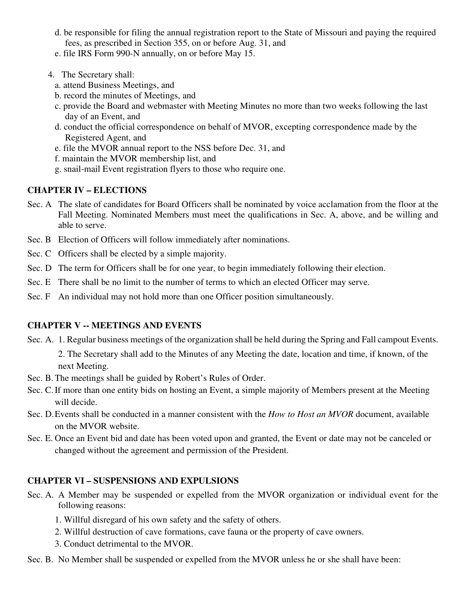- d. be responsible for filing the annual registration report to the State of Missouri and paying the required fees, as prescribed in Section 355, on or before Aug. 31, and
- e. file IRS Form 990-N annually, on or before May 15.
- 4. The Secretary shall:
	- a. attend Business Meetings, and
	- b. record the minutes of Meetings, and
	- c. provide the Board and webmaster with Meeting Minutes no more than two weeks following the last day of an Event, and
	- d. conduct the official correspondence on behalf of MVOR, excepting correspondence made by the Registered Agent, and
	- e. file the MVOR annual report to the NSS before Dec. 31, and
	- f. maintain the MVOR membership list, and
	- g. snail-mail Event registration flyers to those who require one.

# **CHAPTER IV – ELECTIONS**

- Sec. A The slate of candidates for Board Officers shall be nominated by voice acclamation from the floor at the Fall Meeting. Nominated Members must meet the qualifications in Sec. A, above, and be willing and able to serve.
- Sec. B Election of Officers will follow immediately after nominations.
- Sec. C Officers shall be elected by a simple majority.
- Sec. D The term for Officers shall be for one year, to begin immediately following their election.
- Sec. E There shall be no limit to the number of terms to which an elected Officer may serve.
- Sec. F An individual may not hold more than one Officer position simultaneously.

# **CHAPTER V -- MEETINGS AND EVENTS**

- Sec. A. 1. Regular business meetings of the organization shall be held during the Spring and Fall campout Events.
	- 2. The Secretary shall add to the Minutes of any Meeting the date, location and time, if known, of the next Meeting.
- Sec. B. The meetings shall be guided by Robert's Rules of Order.
- Sec. C. If more than one entity bids on hosting an Event, a simple majority of Members present at the Meeting will decide.
- Sec. D. Events shall be conducted in a manner consistent with the *How to Host an MVOR* document, available on the MVOR website.
- Sec. E. Once an Event bid and date has been voted upon and granted, the Event or date may not be canceled or changed without the agreement and permission of the President.

# **CHAPTER VI – SUSPENSIONS AND EXPULSIONS**

- Sec. A. A Member may be suspended or expelled from the MVOR organization or individual event for the following reasons:
	- 1. Willful disregard of his own safety and the safety of others.
	- 2. Willful destruction of cave formations, cave fauna or the property of cave owners.
	- 3. Conduct detrimental to the MVOR.
- Sec. B. No Member shall be suspended or expelled from the MVOR unless he or she shall have been: